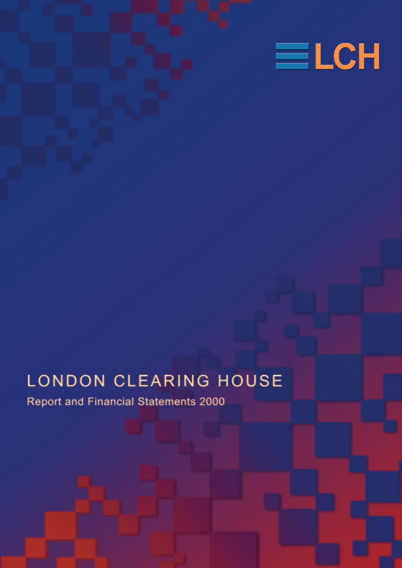

# LONDON CLEARING HOUSE

Report and Financial Statements 2000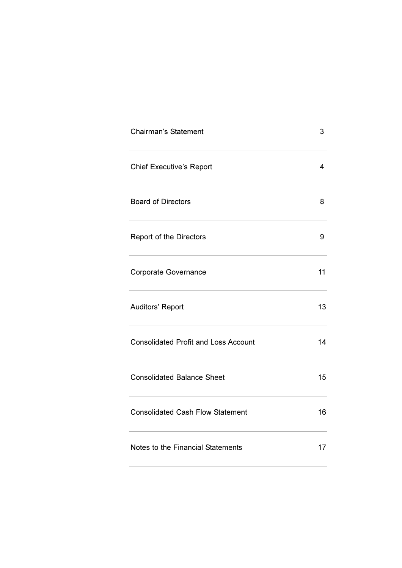| <b>Chairman's Statement</b>                 | 3  |
|---------------------------------------------|----|
| <b>Chief Executive's Report</b>             | 4  |
| <b>Board of Directors</b>                   | 8  |
| Report of the Directors                     | 9  |
| <b>Corporate Governance</b>                 | 11 |
| Auditors' Report                            | 13 |
| <b>Consolidated Profit and Loss Account</b> | 14 |
| <b>Consolidated Balance Sheet</b>           | 15 |
| <b>Consolidated Cash Flow Statement</b>     | 16 |
| Notes to the Financial Statements           | 17 |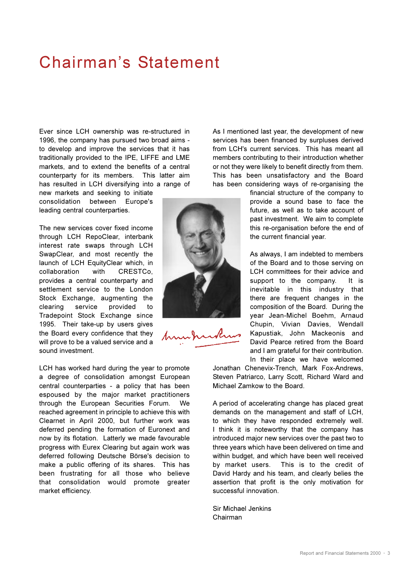# Chairman's Statement

Ever since LCH ownership was re-structured in 1996, the company has pursued two broad aims to develop and improve the services that it has traditionally provided to the IPE, LIFFE and LME markets, and to extend the benefits of a central counterparty for its members. This latter aim has resulted in LCH diversifying into a range of

new markets and seeking to initiate consolidation between Europe's leading central counterparties.

The new services cover fixed income through LCH RepoClear, interbank interest rate swaps through LCH SwapClear, and most recently the launch of LCH EquityClear which, in collaboration with CRESTCo, provides a central counterparty and settlement service to the London Stock Exchange, augmenting the clearing service provided to Tradepoint Stock Exchange since 1995. Their take-up by users gives the Board every confidence that they will prove to be a valued service and a sound investment.

LCH has worked hard during the year to promote a degree of consolidation amongst European central counterparties - a policy that has been espoused by the major market practitioners through the European Securities Forum. We reached agreement in principle to achieve this with Clearnet in April 2000, but further work was deferred pending the formation of Euronext and now by its flotation. Latterly we made favourable progress with Eurex Clearing but again work was deferred following Deutsche Börse's decision to make a public offering of its shares. This has been frustrating for all those who believe that consolidation would promote greater market efficiency.



As I mentioned last year, the development of new services has been financed by surpluses derived from LCH's current services. This has meant all members contributing to their introduction whether or not they were likely to benefit directly from them. This has been unsatisfactory and the Board has been considering ways of re-organising the

> financial structure of the company to provide a sound base to face the future, as well as to take account of past investment. We aim to complete this re-organisation before the end of the current financial year.

As always, I am indebted to members of the Board and to those serving on LCH committees for their advice and support to the company. It is inevitable in this industry that there are frequent changes in the composition of the Board. During the year Jean-Michel Boehm, Arnaud Chupin, Vivian Davies, Wendall Kapustiak, John Mackeonis and David Pearce retired from the Board and I am grateful for their contribution. In their place we have welcomed

Jonathan Chenevix-Trench, Mark Fox-Andrews, Steven Patriarco, Larry Scott, Richard Ward and Michael Zamkow to the Board.

A period of accelerating change has placed great demands on the management and staff of LCH, to which they have responded extremely well. I think it is noteworthy that the company has introduced major new services over the past two to three years which have been delivered on time and within budget, and which have been well received by market users. This is to the credit of David Hardy and his team, and clearly belies the assertion that profit is the only motivation for successful innovation.

Sir Michael Jenkins Chairman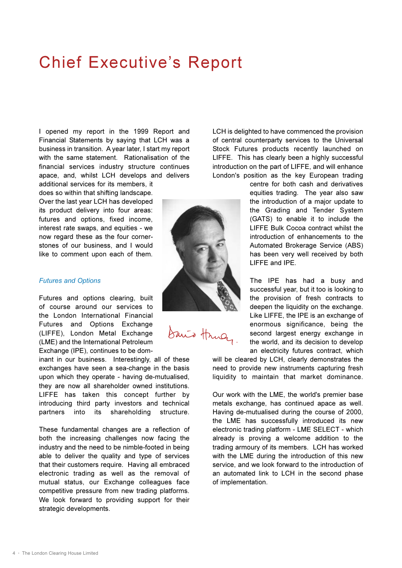# **Chief Executive's Report**

I opened my report in the 1999 Report and Financial Statements by saying that LCH was a business in transition. A year later, I start my report with the same statement. Rationalisation of the financial services industry structure continues apace, and, whilst LCH develops and delivers

additional services for its members, it does so within that shifting landscape. Over the last year LCH has developed its product delivery into four areas: futures and options, fixed income, interest rate swaps, and equities - we now regard these as the four cornerstones of our business, and I would like to comment upon each of them.

### *Futures and Options*

Futures and options clearing, built of course around our services to the London International Financial Futures and Options Exchange (LIFFE), London Metal Exchange (LME) and the International Petroleum Exchange (IPE), continues to be dom-

inant in our business. Interestingly, all of these exchanges have seen a sea-change in the basis upon which they operate - having de-mutualised, they are now all shareholder owned institutions. LIFFE has taken this concept further by introducing third party investors and technical partners into its shareholding structure.

These fundamental changes are a reflection of both the increasing challenges now facing the industry and the need to be nimble-footed in being able to deliver the quality and type of services that their customers require. Having all embraced electronic trading as well as the removal of mutual status, our Exchange colleagues face competitive pressure from new trading platforms. We look forward to providing support for their strategic developments.

LCH is delighted to have commenced the provision of central counterparty services to the Universal Stock Futures products recently launched on LIFFE. This has clearly been a highly successful introduction on the part of LIFFE, and will enhance London's position as the key European trading

> centre for both cash and derivatives equities trading. The year also saw the introduction of a major update to the Grading and Tender System (GATS) to enable it to include the LIFFE Bulk Cocoa contract whilst the introduction of enhancements to the Automated Brokerage Service (ABS) has been very well received by both LIFFE and IPE.

> The IPE has had a busy and successful year, but it too is looking to the provision of fresh contracts to deepen the liquidity on the exchange. Like LIFFE, the IPE is an exchange of enormous significance, being the second largest energy exchange in the world, and its decision to develop an electricity futures contract, which

will be cleared by LCH, clearly demonstrates the need to provide new instruments capturing fresh liquidity to maintain that market dominance.

Our work with the LME, the world's premier base metals exchange, has continued apace as well. Having de-mutualised during the course of 2000, the LME has successfully introduced its new electronic trading platform - LME SELECT - which already is proving a welcome addition to the trading armoury of its members. LCH has worked with the LME during the introduction of this new service, and we look forward to the introduction of an automated link to LCH in the second phase of implementation.



Danis Hrucy.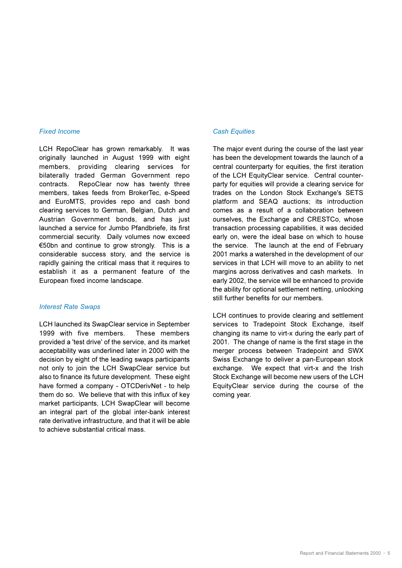### *Fixed Income*

LCH RepoClear has grown remarkably. It was originally launched in August 1999 with eight members, providing clearing services for bilaterally traded German Government repo contracts. RepoClear now has twenty three members, takes feeds from BrokerTec, e-Speed and EuroMTS, provides repo and cash bond clearing services to German, Belgian, Dutch and Austrian Government bonds, and has just launched a service for Jumbo Pfandbriefe, its first commercial security. Daily volumes now exceed 50bn and continue to grow strongly. This is a considerable success story, and the service is rapidly gaining the critical mass that it requires to establish it as a permanent feature of the European fixed income landscape.

#### *Interest Rate Swaps*

LCH launched its SwapClear service in September 1999 with five members. These members provided a 'test drive' of the service, and its market acceptability was underlined later in 2000 with the decision by eight of the leading swaps participants not only to join the LCH SwapClear service but also to finance its future development. These eight have formed a company - OTCDerivNet - to help them do so. We believe that with this influx of key market participants, LCH SwapClear will become an integral part of the global inter-bank interest rate derivative infrastructure, and that it will be able to achieve substantial critical mass.

### *Cash Equities*

The major event during the course of the last year has been the development towards the launch of a central counterparty for equities, the first iteration of the LCH EquityClear service. Central counterparty for equities will provide a clearing service for trades on the London Stock Exchange's SETS platform and SEAQ auctions; its introduction comes as a result of a collaboration between ourselves, the Exchange and CRESTCo, whose transaction processing capabilities, it was decided early on, were the ideal base on which to house the service. The launch at the end of February 2001 marks a watershed in the development of our services in that LCH will move to an ability to net margins across derivatives and cash markets. In early 2002, the service will be enhanced to provide the ability for optional settlement netting, unlocking still further benefits for our members.

LCH continues to provide clearing and settlement services to Tradepoint Stock Exchange, itself changing its name to virt-x during the early part of 2001. The change of name is the first stage in the merger process between Tradepoint and SWX Swiss Exchange to deliver a pan-European stock exchange. We expect that virt-x and the Irish Stock Exchange will become new users of the LCH EquityClear service during the course of the coming year.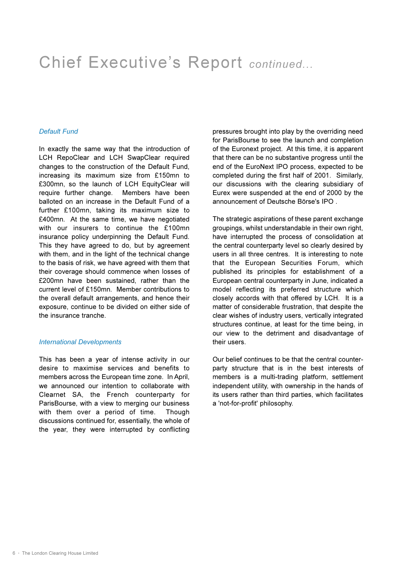# Chief Executive's Report *continued...*

### *Default Fund*

In exactly the same way that the introduction of LCH RepoClear and LCH SwapClear required changes to the construction of the Default Fund, increasing its maximum size from £150mn to £300mn, so the launch of LCH EquityClear will require further change. Members have been balloted on an increase in the Default Fund of a further £100mn, taking its maximum size to £400mn. At the same time, we have negotiated with our insurers to continue the £100mn insurance policy underpinning the Default Fund. This they have agreed to do, but by agreement with them, and in the light of the technical change to the basis of risk, we have agreed with them that their coverage should commence when losses of £200mn have been sustained, rather than the current level of £150mn. Member contributions to the overall default arrangements, and hence their exposure, continue to be divided on either side of the insurance tranche.

### *International Developments*

This has been a year of intense activity in our desire to maximise services and benefits to members across the European time zone. In April, we announced our intention to collaborate with Clearnet SA, the French counterparty for ParisBourse, with a view to merging our business with them over a period of time. Though discussions continued for, essentially, the whole of the year, they were interrupted by conflicting

pressures brought into play by the overriding need for ParisBourse to see the launch and completion of the Euronext project. At this time, it is apparent that there can be no substantive progress until the end of the EuroNext IPO process, expected to be completed during the first half of 2001. Similarly, our discussions with the clearing subsidiary of Eurex were suspended at the end of 2000 by the announcement of Deutsche Börse's IPO .

The strategic aspirations of these parent exchange groupings, whilst understandable in their own right, have interrupted the process of consolidation at the central counterparty level so clearly desired by users in all three centres. It is interesting to note that the European Securities Forum, which published its principles for establishment of a European central counterparty in June, indicated a model reflecting its preferred structure which closely accords with that offered by LCH. It is a matter of considerable frustration, that despite the clear wishes of industry users, vertically integrated structures continue, at least for the time being, in our view to the detriment and disadvantage of their users.

Our belief continues to be that the central counterparty structure that is in the best interests of members is a multi-trading platform, settlement independent utility, with ownership in the hands of its users rather than third parties, which facilitates a 'not-for-profit' philosophy.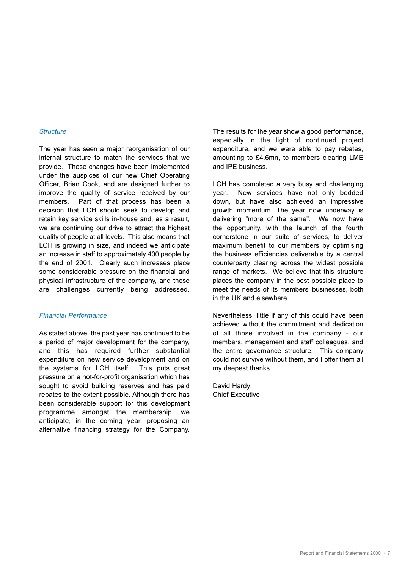#### *Structure*

The year has seen a major reorganisation of our internal structure to match the services that we provide. These changes have been implemented under the auspices of our new Chief Operating Officer, Brian Cook, and are designed further to improve the quality of service received by our members. Part of that process has been a decision that LCH should seek to develop and retain key service skills in-house and, as a result, we are continuing our drive to attract the highest quality of people at all levels. This also means that LCH is growing in size, and indeed we anticipate an increase in staff to approximately 400 people by the end of 2001. Clearly such increases place some considerable pressure on the financial and physical infrastructure of the company, and these are challenges currently being addressed.

### *Financial Performance*

As stated above, the past year has continued to be a period of major development for the company, and this has required further substantial expenditure on new service development and on the systems for LCH itself. This puts great pressure on a not-for-profit organisation which has sought to avoid building reserves and has paid rebates to the extent possible. Although there has been considerable support for this development programme amongst the membership, we anticipate, in the coming year, proposing an alternative financing strategy for the Company.

The results for the year show a good performance, especially in the light of continued project expenditure, and we were able to pay rebates, amounting to £4.6mn, to members clearing LME and IPE business.

LCH has completed a very busy and challenging year. New services have not only bedded down, but have also achieved an impressive growth momentum. The year now underway is delivering "more of the same". We now have the opportunity, with the launch of the fourth cornerstone in our suite of services, to deliver maximum benefit to our members by optimising the business efficiencies deliverable by a central counterparty clearing across the widest possible range of markets. We believe that this structure places the company in the best possible place to meet the needs of its members' businesses, both in the UK and elsewhere.

Nevertheless, little if any of this could have been achieved without the commitment and dedication of all those involved in the company - our members, management and staff colleagues, and the entire governance structure. This company could not survive without them, and I offer them all my deepest thanks.

David Hardy Chief Executive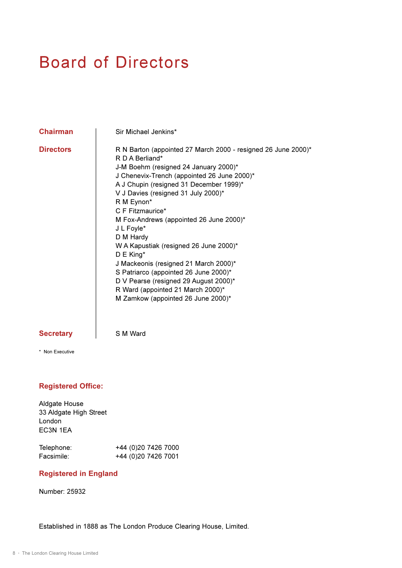# Board of Directors

**Chairman** | Sir Michael Jenkins\*

**Directors** R N Barton (appointed 27 March 2000 - resigned 26 June 2000)\* R D A Berliand\* J-M Boehm (resigned 24 January 2000)\* J Chenevix-Trench (appointed 26 June 2000)\* A J Chupin (resigned 31 December 1999)\* V J Davies (resigned 31 July 2000)\* R M Eynon\* C F Fitzmaurice\* M Fox-Andrews (appointed 26 June 2000)\* J L Foyle\* D M Hardy W A Kapustiak (resigned 26 June 2000)\* D E King\* J Mackeonis (resigned 21 March 2000)\* S Patriarco (appointed 26 June 2000)\* D V Pearse (resigned 29 August 2000)\* R Ward (appointed 21 March 2000)\* M Zamkow (appointed 26 June 2000)\*

## Secretary | S M Ward

\* Non Executive

## **Registered Office:**

| Telephone: | +44 (0)20 7426 7000 |
|------------|---------------------|
| Facsimile: | +44 (0)20 7426 7001 |

## **Registered in England**

Number: 25932

Established in 1888 as The London Produce Clearing House, Limited.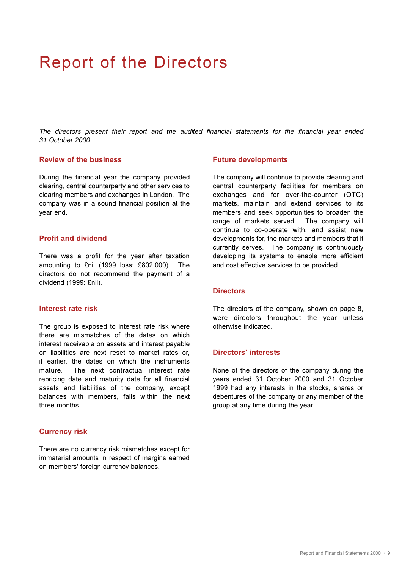# Report of the Directors

*The directors present their report and the audited financial statements for the financial year ended 31 October 2000.*

### **Review of the business**

During the financial year the company provided clearing, central counterparty and other services to clearing members and exchanges in London. The company was in a sound financial position at the year end.

### **Profit and dividend**

There was a profit for the year after taxation amounting to £nil (1999 loss: £802,000). The directors do not recommend the payment of a dividend (1999: £nil).

### **Interest rate risk**

The group is exposed to interest rate risk where there are mismatches of the dates on which interest receivable on assets and interest payable on liabilities are next reset to market rates or, if earlier, the dates on which the instruments mature. The next contractual interest rate repricing date and maturity date for all financial assets and liabilities of the company, except balances with members, falls within the next three months.

### **Currency risk**

There are no currency risk mismatches except for immaterial amounts in respect of margins earned on members' foreign currency balances.

### **Future developments**

The company will continue to provide clearing and central counterparty facilities for members on exchanges and for over-the-counter (OTC) markets, maintain and extend services to its members and seek opportunities to broaden the range of markets served. The company will continue to co-operate with, and assist new developments for, the markets and members that it currently serves. The company is continuously developing its systems to enable more efficient and cost effective services to be provided.

### **Directors**

The directors of the company, shown on page 8, were directors throughout the year unless otherwise indicated.

### **Directors' interests**

None of the directors of the company during the years ended 31 October 2000 and 31 October 1999 had any interests in the stocks, shares or debentures of the company or any member of the group at any time during the year.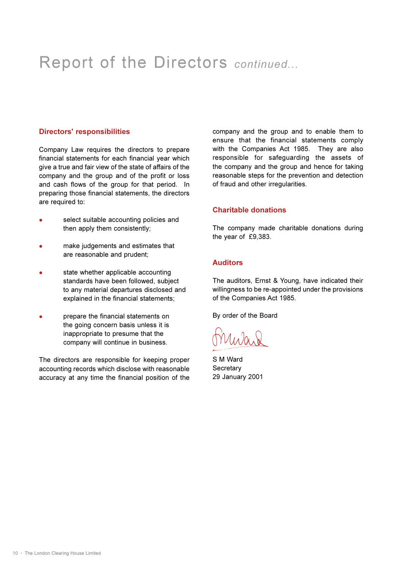# Report of the Directors *continued...*

### **Directors' responsibilities**

Company Law requires the directors to prepare financial statements for each financial year which give a true and fair view of the state of affairs of the company and the group and of the profit or loss and cash flows of the group for that period. In preparing those financial statements, the directors are required to:

- select suitable accounting policies and then apply them consistently;
- make judgements and estimates that are reasonable and prudent;
- state whether applicable accounting standards have been followed, subject to any material departures disclosed and explained in the financial statements;
- prepare the financial statements on the going concern basis unless it is inappropriate to presume that the company will continue in business.

The directors are responsible for keeping proper accounting records which disclose with reasonable accuracy at any time the financial position of the

company and the group and to enable them to ensure that the financial statements comply with the Companies Act 1985. They are also responsible for safeguarding the assets of the company and the group and hence for taking reasonable steps for the prevention and detection of fraud and other irregularities.

### **Charitable donations**

The company made charitable donations during the year of £9,383.

### **Auditors**

The auditors, Ernst & Young, have indicated their willingness to be re-appointed under the provisions of the Companies Act 1985.

By order of the Board

S M Ward **Secretary** 29 January 2001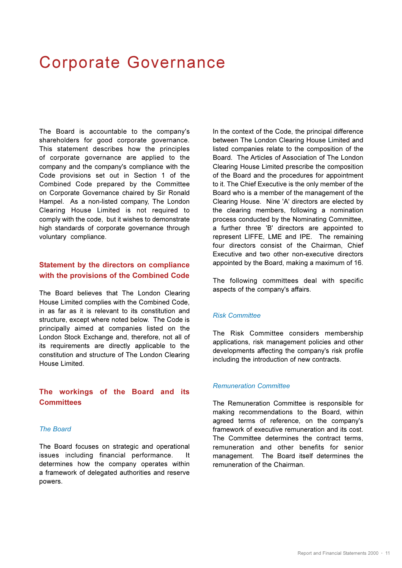# Corporate Governance

The Board is accountable to the company's shareholders for good corporate governance. This statement describes how the principles of corporate governance are applied to the company and the company's compliance with the Code provisions set out in Section 1 of the Combined Code prepared by the Committee on Corporate Governance chaired by Sir Ronald Hampel. As a non-listed company, The London Clearing House Limited is not required to comply with the code, but it wishes to demonstrate high standards of corporate governance through voluntary compliance.

# **Statement by the directors on compliance with the provisions of the Combined Code**

The Board believes that The London Clearing House Limited complies with the Combined Code, in as far as it is relevant to its constitution and structure, except where noted below. The Code is principally aimed at companies listed on the London Stock Exchange and, therefore, not all of its requirements are directly applicable to the constitution and structure of The London Clearing House Limited.

# **The workings of the Board and its Committees**

### *The Board*

The Board focuses on strategic and operational issues including financial performance. It determines how the company operates within a framework of delegated authorities and reserve powers.

In the context of the Code, the principal difference between The London Clearing House Limited and listed companies relate to the composition of the Board. The Articles of Association of The London Clearing House Limited prescribe the composition of the Board and the procedures for appointment to it. The Chief Executive is the only member of the Board who is a member of the management of the Clearing House. Nine 'A' directors are elected by the clearing members, following a nomination process conducted by the Nominating Committee, a further three 'B' directors are appointed to represent LIFFE, LME and IPE. The remaining four directors consist of the Chairman, Chief Executive and two other non-executive directors appointed by the Board, making a maximum of 16.

The following committees deal with specific aspects of the company's affairs.

### *Risk Committee*

The Risk Committee considers membership applications, risk management policies and other developments affecting the company's risk profile including the introduction of new contracts.

#### *Remuneration Committee*

The Remuneration Committee is responsible for making recommendations to the Board, within agreed terms of reference, on the company's framework of executive remuneration and its cost. The Committee determines the contract terms, remuneration and other benefits for senior management. The Board itself determines the remuneration of the Chairman.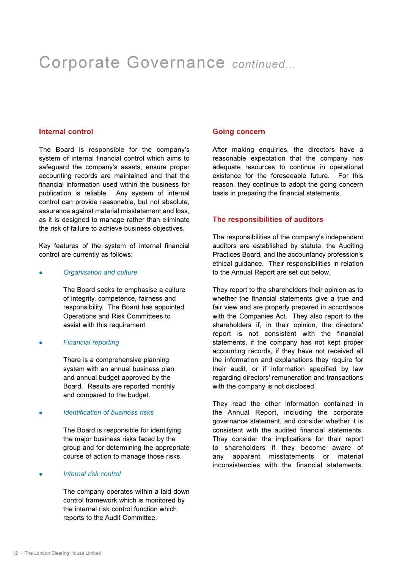# Corporate Governance *continued...*

### **Internal control**

The Board is responsible for the company's system of internal financial control which aims to safeguard the company's assets, ensure proper accounting records are maintained and that the financial information used within the business for publication is reliable. Any system of internal control can provide reasonable, but not absolute, assurance against material misstatement and loss, as it is designed to manage rather than eliminate the risk of failure to achieve business objectives.

Key features of the system of internal financial control are currently as follows:

#### <sup>l</sup> *Organisation and culture*

The Board seeks to emphasise a culture of integrity, competence, fairness and responsibility. The Board has appointed Operations and Risk Committees to assist with this requirement.

### **Financial reporting**

There is a comprehensive planning system with an annual business plan and annual budget approved by the Board. Results are reported monthly and compared to the budget.

### <sup>l</sup> *Identification of business risks*

The Board is responsible for identifying the major business risks faced by the group and for determining the appropriate course of action to manage those risks.

### **•** *Internal risk control*

The company operates within a laid down control framework which is monitored by the internal risk control function which reports to the Audit Committee.

#### **Going concern**

After making enquiries, the directors have a reasonable expectation that the company has adequate resources to continue in operational existence for the foreseeable future. For this reason, they continue to adopt the going concern basis in preparing the financial statements.

#### **The responsibilities of auditors**

The responsibilities of the company's independent auditors are established by statute, the Auditing Practices Board, and the accountancy profession's ethical guidance. Their responsibilities in relation to the Annual Report are set out below.

They report to the shareholders their opinion as to whether the financial statements give a true and fair view and are properly prepared in accordance with the Companies Act. They also report to the shareholders if, in their opinion, the directors' report is not consistent with the financial statements, if the company has not kept proper accounting records, if they have not received all the information and explanations they require for their audit, or if information specified by law regarding directors' remuneration and transactions with the company is not disclosed.

They read the other information contained in the Annual Report, including the corporate governance statement, and consider whether it is consistent with the audited financial statements. They consider the implications for their report to shareholders if they become aware of any apparent misstatements or material inconsistencies with the financial statements.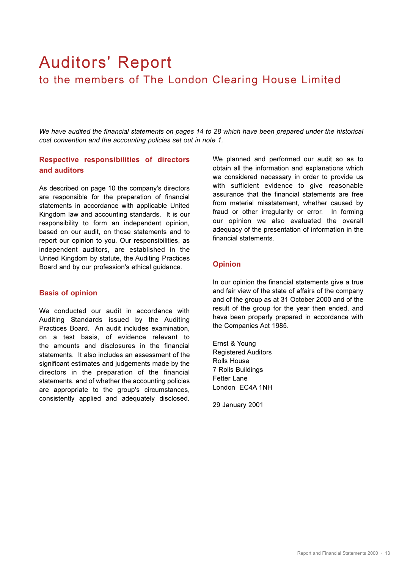# Auditors' Report to the members of The London Clearing House Limited

*We have audited the financial statements on pages 14 to 28 which have been prepared under the historical cost convention and the accounting policies set out in note 1.*

# **Respective responsibilities of directors and auditors**

As described on page 10 the company's directors are responsible for the preparation of financial statements in accordance with applicable United Kingdom law and accounting standards. It is our responsibility to form an independent opinion, based on our audit, on those statements and to report our opinion to you. Our responsibilities, as independent auditors, are established in the United Kingdom by statute, the Auditing Practices Board and by our profession's ethical guidance.

### **Basis of opinion**

We conducted our audit in accordance with Auditing Standards issued by the Auditing Practices Board. An audit includes examination, on a test basis, of evidence relevant to the amounts and disclosures in the financial statements. It also includes an assessment of the significant estimates and judgements made by the directors in the preparation of the financial statements, and of whether the accounting policies are appropriate to the group's circumstances, consistently applied and adequately disclosed.

We planned and performed our audit so as to obtain all the information and explanations which we considered necessary in order to provide us with sufficient evidence to give reasonable assurance that the financial statements are free from material misstatement, whether caused by fraud or other irregularity or error. In forming our opinion we also evaluated the overall adequacy of the presentation of information in the financial statements.

### **Opinion**

In our opinion the financial statements give a true and fair view of the state of affairs of the company and of the group as at 31 October 2000 and of the result of the group for the year then ended, and have been properly prepared in accordance with the Companies Act 1985.

Ernst & Young Registered Auditors Rolls House 7 Rolls Buildings Fetter Lane London EC4A 1NH

29 January 2001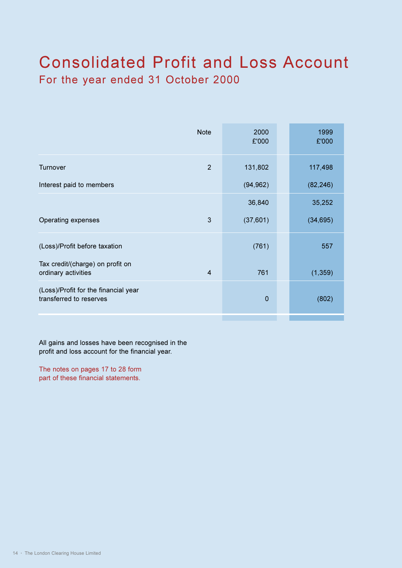# Consolidated Profit and Loss Account For the year ended 31 October 2000

| <b>Note</b>                                                               | 2000<br>£'000 | 1999<br>£'000 |
|---------------------------------------------------------------------------|---------------|---------------|
| $\overline{2}$<br>Turnover                                                | 131,802       | 117,498       |
| Interest paid to members                                                  | (94, 962)     | (82, 246)     |
|                                                                           | 36,840        | 35,252        |
| 3<br>Operating expenses                                                   | (37,601)      | (34, 695)     |
| (Loss)/Profit before taxation                                             | (761)         | 557           |
| Tax credit/(charge) on profit on<br>ordinary activities<br>$\overline{4}$ | 761           | (1, 359)      |
| (Loss)/Profit for the financial year<br>transferred to reserves           | $\mathbf 0$   | (802)         |
|                                                                           |               |               |

All gains and losses have been recognised in the profit and loss account for the financial year.

The notes on pages 17 to 28 form part of these financial statements.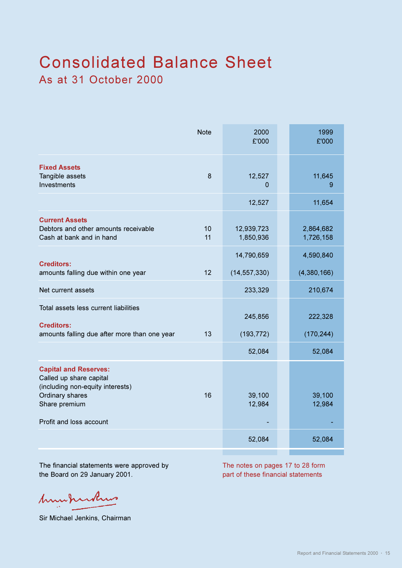# Consolidated Balance Sheet As at 31 October 2000

|                                                                                                                                                            | <b>Note</b> | 2000<br>£'000           | 1999<br>£'000          |
|------------------------------------------------------------------------------------------------------------------------------------------------------------|-------------|-------------------------|------------------------|
| <b>Fixed Assets</b><br>Tangible assets<br>Investments                                                                                                      | 8           | 12,527<br>0             | 11,645<br>9            |
|                                                                                                                                                            |             | 12,527                  | 11,654                 |
| <b>Current Assets</b><br>Debtors and other amounts receivable<br>Cash at bank and in hand                                                                  | 10<br>11    | 12,939,723<br>1,850,936 | 2,864,682<br>1,726,158 |
|                                                                                                                                                            |             | 14,790,659              | 4,590,840              |
| <b>Creditors:</b><br>amounts falling due within one year                                                                                                   | 12          | (14, 557, 330)          | (4,380,166)            |
| Net current assets                                                                                                                                         |             | 233,329                 | 210,674                |
| Total assets less current liabilities<br><b>Creditors:</b>                                                                                                 |             | 245,856                 | 222,328                |
| amounts falling due after more than one year                                                                                                               | 13          | (193, 772)              | (170, 244)             |
|                                                                                                                                                            |             | 52,084                  | 52,084                 |
| <b>Capital and Reserves:</b><br>Called up share capital<br>(including non-equity interests)<br>Ordinary shares<br>Share premium<br>Profit and loss account | 16          | 39,100<br>12,984        | 39,100<br>12,984       |
|                                                                                                                                                            |             | 52,084                  | 52,084                 |
|                                                                                                                                                            |             |                         |                        |

The financial statements were approved by The notes on pages 17 to 28 form the Board on 29 January 2001. **part of these financial statements** 

humburkus

Sir Michael Jenkins, Chairman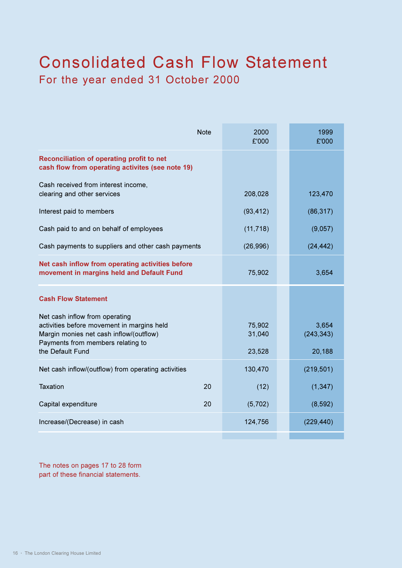# Consolidated Cash Flow Statement For the year ended 31 October 2000

| <b>Note</b>                                                                                                                                                                      | 2000<br>£'000              | 1999<br>£'000                 |
|----------------------------------------------------------------------------------------------------------------------------------------------------------------------------------|----------------------------|-------------------------------|
| Reconciliation of operating profit to net<br>cash flow from operating activites (see note 19)                                                                                    |                            |                               |
| Cash received from interest income,<br>clearing and other services                                                                                                               | 208,028                    | 123,470                       |
| Interest paid to members                                                                                                                                                         | (93, 412)                  | (86, 317)                     |
| Cash paid to and on behalf of employees                                                                                                                                          | (11, 718)                  | (9,057)                       |
| Cash payments to suppliers and other cash payments                                                                                                                               | (26,996)                   | (24, 442)                     |
| Net cash inflow from operating activities before<br>movement in margins held and Default Fund                                                                                    | 75,902                     | 3,654                         |
| <b>Cash Flow Statement</b>                                                                                                                                                       |                            |                               |
| Net cash inflow from operating<br>activities before movement in margins held<br>Margin monies net cash inflow/(outflow)<br>Payments from members relating to<br>the Default Fund | 75,902<br>31,040<br>23,528 | 3,654<br>(243, 343)<br>20,188 |
| Net cash inflow/(outflow) from operating activities                                                                                                                              | 130,470                    | (219, 501)                    |
| <b>Taxation</b><br>20                                                                                                                                                            | (12)                       | (1, 347)                      |
| Capital expenditure<br>20                                                                                                                                                        | (5,702)                    | (8,592)                       |
| Increase/(Decrease) in cash                                                                                                                                                      | 124,756                    | (229, 440)                    |
|                                                                                                                                                                                  |                            |                               |

The notes on pages 17 to 28 form part of these financial statements.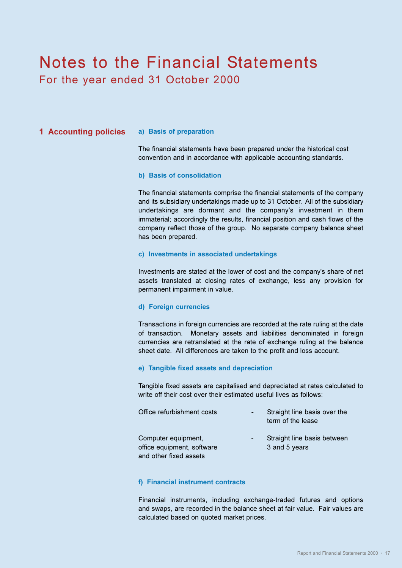# Notes to the Financial Statements For the year ended 31 October 2000

### **1 Accounting policies a) Basis of preparation**

The financial statements have been prepared under the historical cost convention and in accordance with applicable accounting standards.

#### **b) Basis of consolidation**

The financial statements comprise the financial statements of the company and its subsidiary undertakings made up to 31 October. All of the subsidiary undertakings are dormant and the company's investment in them immaterial; accordingly the results, financial position and cash flows of the company reflect those of the group. No separate company balance sheet has been prepared.

### **c) Investments in associated undertakings**

Investments are stated at the lower of cost and the company's share of net assets translated at closing rates of exchange, less any provision for permanent impairment in value.

#### **d) Foreign currencies**

Transactions in foreign currencies are recorded at the rate ruling at the date of transaction. Monetary assets and liabilities denominated in foreign currencies are retranslated at the rate of exchange ruling at the balance sheet date. All differences are taken to the profit and loss account.

#### **e) Tangible fixed assets and depreciation**

Tangible fixed assets are capitalised and depreciated at rates calculated to write off their cost over their estimated useful lives as follows:

| Office refurbishment costs                                                  | ٠ | Straight line basis over the<br>term of the lease |
|-----------------------------------------------------------------------------|---|---------------------------------------------------|
| Computer equipment,<br>office equipment, software<br>and other fixed assets |   | Straight line basis between<br>3 and 5 years      |

### **f) Financial instrument contracts**

Financial instruments, including exchange-traded futures and options and swaps, are recorded in the balance sheet at fair value. Fair values are calculated based on quoted market prices.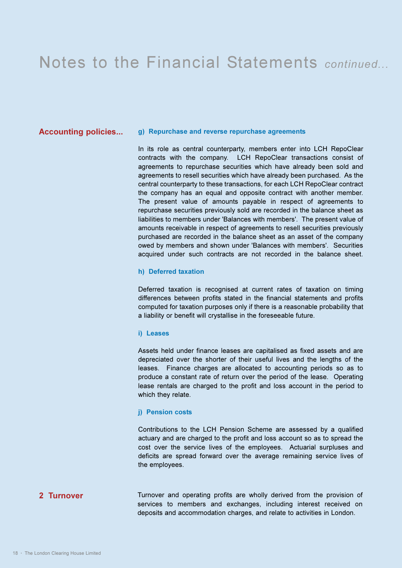### **Accounting policies... g) Repurchase and reverse repurchase agreements**

In its role as central counterparty, members enter into LCH RepoClear contracts with the company. LCH RepoClear transactions consist of agreements to repurchase securities which have already been sold and agreements to resell securities which have already been purchased. As the central counterparty to these transactions, for each LCH RepoClear contract the company has an equal and opposite contract with another member. The present value of amounts payable in respect of agreements to repurchase securities previously sold are recorded in the balance sheet as liabilities to members under 'Balances with members'. The present value of amounts receivable in respect of agreements to resell securities previously purchased are recorded in the balance sheet as an asset of the company owed by members and shown under 'Balances with members'. Securities acquired under such contracts are not recorded in the balance sheet.

### **h) Deferred taxation**

Deferred taxation is recognised at current rates of taxation on timing differences between profits stated in the financial statements and profits computed for taxation purposes only if there is a reasonable probability that a liability or benefit will crystallise in the foreseeable future.

#### **i) Leases**

Assets held under finance leases are capitalised as fixed assets and are depreciated over the shorter of their useful lives and the lengths of the leases. Finance charges are allocated to accounting periods so as to produce a constant rate of return over the period of the lease. Operating lease rentals are charged to the profit and loss account in the period to which they relate.

#### **j) Pension costs**

Contributions to the LCH Pension Scheme are assessed by a qualified actuary and are charged to the profit and loss account so as to spread the cost over the service lives of the employees. Actuarial surpluses and deficits are spread forward over the average remaining service lives of the employees.

# **2 Turnover**

Turnover and operating profits are wholly derived from the provision of services to members and exchanges, including interest received on deposits and accommodation charges, and relate to activities in London.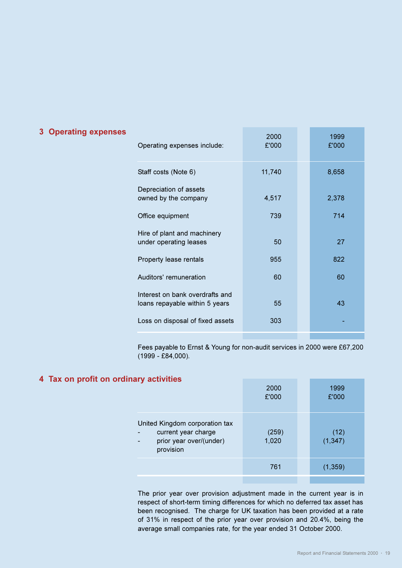| Operating expenses include:                                       | 2000<br>£'000 | 1999<br>£'000 |
|-------------------------------------------------------------------|---------------|---------------|
| Staff costs (Note 6)                                              | 11,740        | 8,658         |
| Depreciation of assets<br>owned by the company                    | 4,517         | 2,378         |
| Office equipment                                                  | 739           | 714           |
| Hire of plant and machinery<br>under operating leases             | 50            | 27            |
| Property lease rentals                                            | 955           | 822           |
| Auditors' remuneration                                            | 60            | 60            |
| Interest on bank overdrafts and<br>loans repayable within 5 years | 55            | 43            |
| Loss on disposal of fixed assets                                  | 303           |               |
|                                                                   |               |               |

Fees payable to Ernst & Young for non-audit services in 2000 were £67,200 (1999 - £84,000).

# **4 Tax on profit on ordinary activities**

| -                                                                                             | 2000<br>£'000  | 1999<br>£'000    |
|-----------------------------------------------------------------------------------------------|----------------|------------------|
| United Kingdom corporation tax<br>current year charge<br>prior year over/(under)<br>provision | (259)<br>1,020 | (12)<br>(1, 347) |
|                                                                                               | 761            | (1, 359)         |

The prior year over provision adjustment made in the current year is in respect of short-term timing differences for which no deferred tax asset has been recognised. The charge for UK taxation has been provided at a rate of 31% in respect of the prior year over provision and 20.4%, being the average small companies rate, for the year ended 31 October 2000.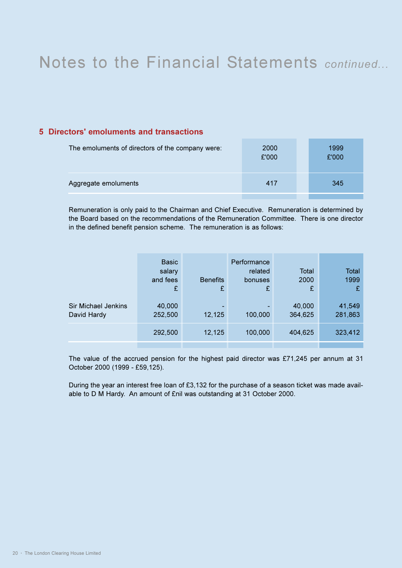# **5 Directors' emoluments and transactions**

| The emoluments of directors of the company were: | 2000<br>£'000 | 1999<br>£'000 |
|--------------------------------------------------|---------------|---------------|
| Aggregate emoluments                             | 417           | 345           |
|                                                  |               |               |

Remuneration is only paid to the Chairman and Chief Executive. Remuneration is determined by the Board based on the recommendations of the Remuneration Committee. There is one director in the defined benefit pension scheme. The remuneration is as follows:

|                                    | <b>Basic</b><br>salary<br>and fees<br>£ | <b>Benefits</b><br>£ | Performance<br>related<br>bonuses<br>£ | <b>Total</b><br>2000<br>£ | Total<br>1999<br>£ |
|------------------------------------|-----------------------------------------|----------------------|----------------------------------------|---------------------------|--------------------|
| Sir Michael Jenkins<br>David Hardy | 40,000<br>252,500                       | 12,125               | 100,000                                | 40,000<br>364,625         | 41,549<br>281,863  |
|                                    | 292,500                                 | 12,125               | 100,000                                | 404,625                   | 323,412            |

The value of the accrued pension for the highest paid director was £71,245 per annum at 31 October 2000 (1999 - £59,125).

During the year an interest free loan of £3,132 for the purchase of a season ticket was made available to D M Hardy. An amount of £nil was outstanding at 31 October 2000.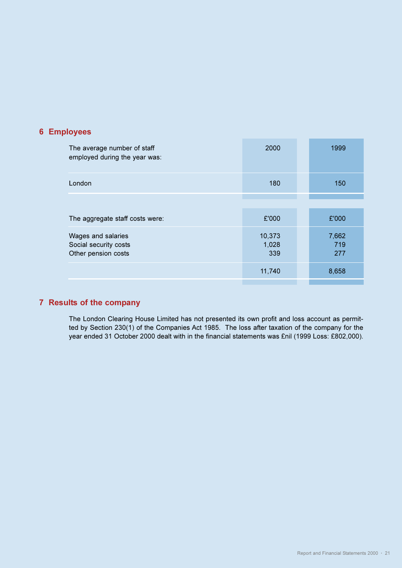# **6 Employees**

| The average number of staff<br>employed during the year was:       | 2000                   | 1999                |
|--------------------------------------------------------------------|------------------------|---------------------|
| London                                                             | 180                    | 150                 |
|                                                                    |                        |                     |
| The aggregate staff costs were:                                    | £'000                  | £'000               |
| Wages and salaries<br>Social security costs<br>Other pension costs | 10,373<br>1,028<br>339 | 7,662<br>719<br>277 |
|                                                                    | 11,740                 | 8,658               |
|                                                                    |                        |                     |

# **7 Results of the company**

The London Clearing House Limited has not presented its own profit and loss account as permitted by Section 230(1) of the Companies Act 1985. The loss after taxation of the company for the year ended 31 October 2000 dealt with in the financial statements was £nil (1999 Loss: £802,000).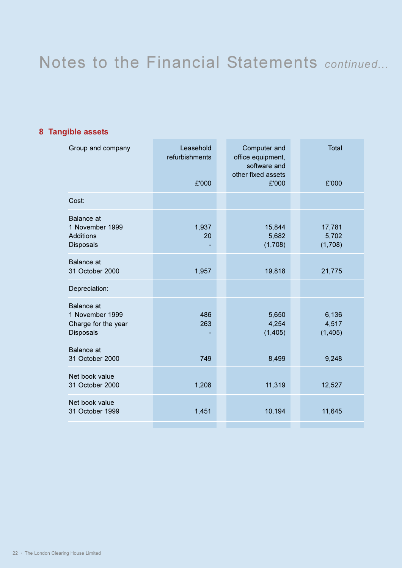# **8 Tangible assets**

| Group and company                                                            | Leasehold<br>refurbishments<br>£'000 | Computer and<br>office equipment,<br>software and<br>other fixed assets<br>£'000 | <b>Total</b><br>£'000      |
|------------------------------------------------------------------------------|--------------------------------------|----------------------------------------------------------------------------------|----------------------------|
| Cost:                                                                        |                                      |                                                                                  |                            |
| <b>Balance</b> at<br>1 November 1999<br><b>Additions</b><br><b>Disposals</b> | 1,937<br>20                          | 15,844<br>5,682<br>(1,708)                                                       | 17,781<br>5,702<br>(1,708) |
| Balance at<br>31 October 2000                                                | 1,957                                | 19,818                                                                           | 21,775                     |
| Depreciation:                                                                |                                      |                                                                                  |                            |
| Balance at<br>1 November 1999<br>Charge for the year<br><b>Disposals</b>     | 486<br>263                           | 5,650<br>4,254<br>(1, 405)                                                       | 6,136<br>4,517<br>(1, 405) |
| <b>Balance</b> at<br>31 October 2000                                         | 749                                  | 8,499                                                                            | 9,248                      |
| Net book value<br>31 October 2000                                            | 1,208                                | 11,319                                                                           | 12,527                     |
| Net book value<br>31 October 1999                                            | 1,451                                | 10,194                                                                           | 11,645                     |
|                                                                              |                                      |                                                                                  |                            |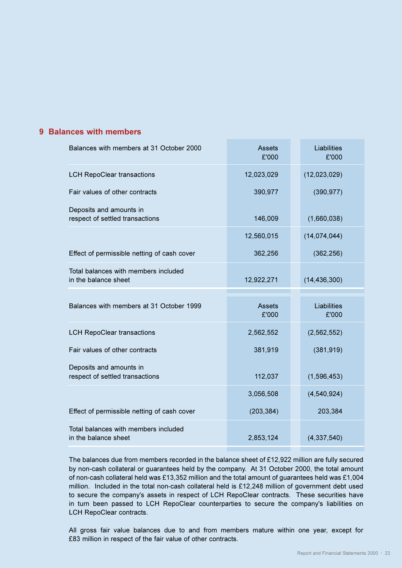# **9 Balances with members**

| Balances with members at 31 October 2000                     | <b>Assets</b><br>£'000 | Liabilities<br>£'000 |  |
|--------------------------------------------------------------|------------------------|----------------------|--|
| <b>LCH RepoClear transactions</b>                            | 12,023,029             | (12,023,029)         |  |
| Fair values of other contracts                               | 390,977                | (390, 977)           |  |
| Deposits and amounts in<br>respect of settled transactions   | 146,009                | (1,660,038)          |  |
|                                                              | 12,560,015             | (14, 074, 044)       |  |
| Effect of permissible netting of cash cover                  | 362,256                | (362, 256)           |  |
| Total balances with members included<br>in the balance sheet | 12,922,271             | (14, 436, 300)       |  |
|                                                              |                        |                      |  |
|                                                              |                        |                      |  |
| Balances with members at 31 October 1999                     | <b>Assets</b><br>£'000 | Liabilities<br>£'000 |  |
| <b>LCH RepoClear transactions</b>                            | 2,562,552              | (2, 562, 552)        |  |
| Fair values of other contracts                               | 381,919                | (381, 919)           |  |
| Deposits and amounts in<br>respect of settled transactions   | 112,037                | (1,596,453)          |  |
|                                                              | 3,056,508              | (4,540,924)          |  |
| Effect of permissible netting of cash cover                  | (203, 384)             | 203,384              |  |

The balances due from members recorded in the balance sheet of £12,922 million are fully secured by non-cash collateral or guarantees held by the company. At 31 October 2000, the total amount of non-cash collateral held was £13,352 million and the total amount of guarantees held was £1,004 million. Included in the total non-cash collateral held is £12,248 million of government debt used to secure the company's assets in respect of LCH RepoClear contracts. These securities have in turn been passed to LCH RepoClear counterparties to secure the company's liabilities on LCH RepoClear contracts.

All gross fair value balances due to and from members mature within one year, except for £83 million in respect of the fair value of other contracts.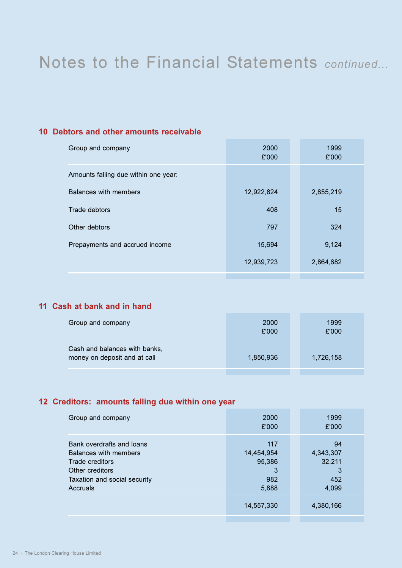# **10 Debtors and other amounts receivable**

| Group and company                    | 2000<br>£'000 | 1999<br>£'000 |
|--------------------------------------|---------------|---------------|
| Amounts falling due within one year: |               |               |
| Balances with members                | 12,922,824    | 2,855,219     |
| Trade debtors                        | 408           | 15            |
| Other debtors                        | 797           | 324           |
| Prepayments and accrued income       | 15,694        | 9,124         |
|                                      | 12,939,723    | 2,864,682     |
|                                      |               |               |

# **11 Cash at bank and in hand**

| Group and company                                             | 2000<br>£'000 | 1999<br>£'000 |
|---------------------------------------------------------------|---------------|---------------|
| Cash and balances with banks,<br>money on deposit and at call | 1,850,936     | 1,726,158     |

# **12 Creditors: amounts falling due within one year**

| Group and company                                                                                                                    | 2000<br>£'000                                    | 1999<br>£'000                                  |
|--------------------------------------------------------------------------------------------------------------------------------------|--------------------------------------------------|------------------------------------------------|
| Bank overdrafts and loans<br>Balances with members<br>Trade creditors<br>Other creditors<br>Taxation and social security<br>Accruals | 117<br>14,454,954<br>95,386<br>3<br>982<br>5,888 | 94<br>4,343,307<br>32,211<br>3<br>452<br>4,099 |
|                                                                                                                                      | 14,557,330                                       | 4,380,166                                      |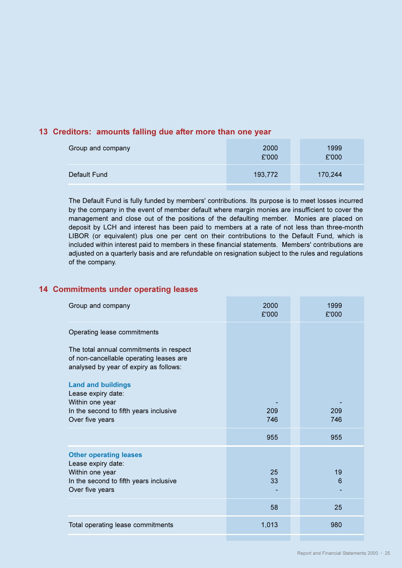# **13 Creditors: amounts falling due after more than one year**

| Group and company | 2000<br>£'000 | 1999<br>£'000 |
|-------------------|---------------|---------------|
| Default Fund      | 193,772       | 170,244       |

The Default Fund is fully funded by members' contributions. Its purpose is to meet losses incurred by the company in the event of member default where margin monies are insufficient to cover the management and close out of the positions of the defaulting member. Monies are placed on deposit by LCH and interest has been paid to members at a rate of not less than three-month LIBOR (or equivalent) plus one per cent on their contributions to the Default Fund, which is included within interest paid to members in these financial statements. Members' contributions are adjusted on a quarterly basis and are refundable on resignation subject to the rules and regulations of the company.

## **14 Commitments under operating leases**

| Group and company                                                                                                                   | 2000<br>£'000 | 1999<br>£'000 |
|-------------------------------------------------------------------------------------------------------------------------------------|---------------|---------------|
| Operating lease commitments                                                                                                         |               |               |
| The total annual commitments in respect<br>of non-cancellable operating leases are<br>analysed by year of expiry as follows:        |               |               |
| <b>Land and buildings</b><br>Lease expiry date:                                                                                     |               |               |
| Within one year<br>In the second to fifth years inclusive<br>Over five years                                                        | 209<br>746    | 209<br>746    |
|                                                                                                                                     | 955           | 955           |
| <b>Other operating leases</b><br>Lease expiry date:<br>Within one year<br>In the second to fifth years inclusive<br>Over five years | 25<br>33      | 19<br>6       |
|                                                                                                                                     | 58            | 25            |
| Total operating lease commitments                                                                                                   | 1,013         | 980           |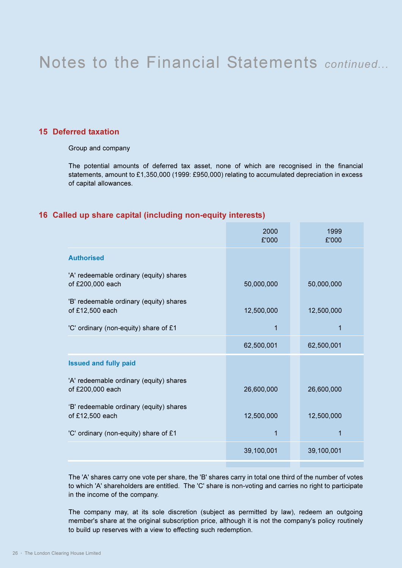# **15 Deferred taxation**

Group and company

The potential amounts of deferred tax asset, none of which are recognised in the financial statements, amount to £1,350,000 (1999: £950,000) relating to accumulated depreciation in excess of capital allowances.

## **16 Called up share capital (including non-equity interests)**

| 2000<br>£'000 | 1999<br>£'000 |
|---------------|---------------|
|               |               |
| 50,000,000    | 50,000,000    |
| 12,500,000    | 12,500,000    |
| 1             | 1             |
| 62,500,001    | 62,500,001    |
|               |               |
| 26,600,000    | 26,600,000    |
| 12,500,000    | 12,500,000    |
| 1             | 1             |
| 39,100,001    | 39,100,001    |
|               |               |

The 'A' shares carry one vote per share, the 'B' shares carry in total one third of the number of votes to which 'A' shareholders are entitled. The 'C' share is non-voting and carries no right to participate in the income of the company.

The company may, at its sole discretion (subject as permitted by law), redeem an outgoing member's share at the original subscription price, although it is not the company's policy routinely to build up reserves with a view to effecting such redemption.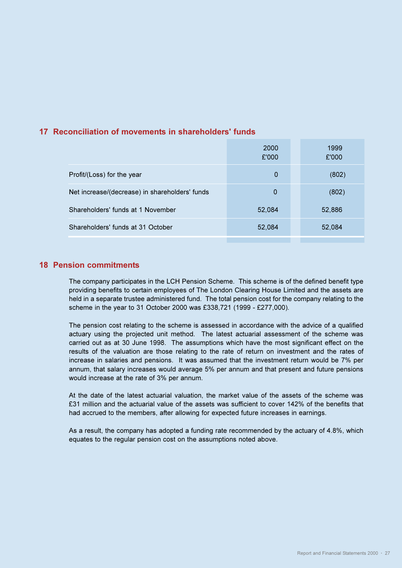# **17 Reconciliation of movements in shareholders' funds**

| 2000<br>£'000 | 1999<br>£'000 |
|---------------|---------------|
| $\Omega$      | (802)         |
| 0             | (802)         |
| 52,084        | 52,886        |
| 52,084        | 52,084        |
|               |               |

# **18 Pension commitments**

The company participates in the LCH Pension Scheme. This scheme is of the defined benefit type providing benefits to certain employees of The London Clearing House Limited and the assets are held in a separate trustee administered fund. The total pension cost for the company relating to the scheme in the year to 31 October 2000 was £338,721 (1999 - £277,000).

The pension cost relating to the scheme is assessed in accordance with the advice of a qualified actuary using the projected unit method. The latest actuarial assessment of the scheme was carried out as at 30 June 1998. The assumptions which have the most significant effect on the results of the valuation are those relating to the rate of return on investment and the rates of increase in salaries and pensions. It was assumed that the investment return would be 7% per annum, that salary increases would average 5% per annum and that present and future pensions would increase at the rate of 3% per annum.

At the date of the latest actuarial valuation, the market value of the assets of the scheme was £31 million and the actuarial value of the assets was sufficient to cover 142% of the benefits that had accrued to the members, after allowing for expected future increases in earnings.

As a result, the company has adopted a funding rate recommended by the actuary of 4.8%, which equates to the regular pension cost on the assumptions noted above.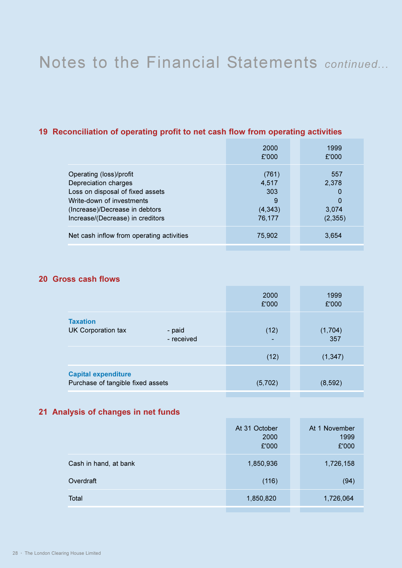# **19 Reconciliation of operating profit to net cash flow from operating activities**

|                                                                                                                                                                                        | 2000<br>£'000                                    | 1999<br>£'000                                     |
|----------------------------------------------------------------------------------------------------------------------------------------------------------------------------------------|--------------------------------------------------|---------------------------------------------------|
| Operating (loss)/profit<br>Depreciation charges<br>Loss on disposal of fixed assets<br>Write-down of investments<br>(Increase)/Decrease in debtors<br>Increase/(Decrease) in creditors | (761)<br>4,517<br>303<br>9<br>(4, 343)<br>76,177 | 557<br>2,378<br>0<br>$\Omega$<br>3,074<br>(2,355) |
| Net cash inflow from operating activities                                                                                                                                              | 75,902                                           | 3,654                                             |

# **20 Gross cash flows**

|                                                                 | 2000<br>£'000 | 1999<br>£'000  |
|-----------------------------------------------------------------|---------------|----------------|
| <b>Taxation</b><br>UK Corporation tax<br>- paid<br>- received   | (12)          | (1,704)<br>357 |
|                                                                 | (12)          | (1, 347)       |
| <b>Capital expenditure</b><br>Purchase of tangible fixed assets | (5,702)       | (8, 592)       |

# **21 Analysis of changes in net funds**

|                       | At 31 October<br>2000<br>£'000 | At 1 November<br>1999<br>£'000 |
|-----------------------|--------------------------------|--------------------------------|
| Cash in hand, at bank | 1,850,936                      | 1,726,158                      |
| Overdraft             | (116)                          | (94)                           |
| Total                 | 1,850,820                      | 1,726,064                      |